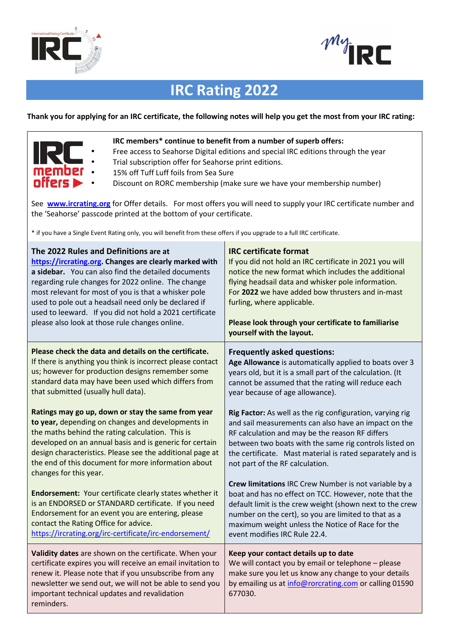



# **IRC Rating 2022**

## **Thank you for applying for an IRC certificate, the following notes will help you get the most from your IRC rating:**



## **IRC members\* continue to benefit from a number of superb offers:**

- Free access to Seahorse Digital editions and special IRC editions through the year
- Trial subscription offer for Seahorse print editions.
	- 15% off Tuff Luff foils from Sea Sure
	- Discount on RORC membership (make sure we have your membership number)

See **www.ircrating.org** for Offer details. For most offers you will need to supply your IRC certificate number and the 'Seahorse' passcode printed at the bottom of your certificate.

\* if you have a Single Event Rating only, you will benefit from these offers if you upgrade to a full IRC certificate.

| The 2022 Rules and Definitions are at<br>https://ircrating.org. Changes are clearly marked with<br>a sidebar. You can also find the detailed documents<br>regarding rule changes for 2022 online. The change<br>most relevant for most of you is that a whisker pole<br>used to pole out a headsail need only be declared if<br>used to leeward. If you did not hold a 2021 certificate<br>please also look at those rule changes online. | <b>IRC certificate format</b><br>If you did not hold an IRC certificate in 2021 you will<br>notice the new format which includes the additional<br>flying headsail data and whisker pole information.<br>For 2022 we have added bow thrusters and in-mast<br>furling, where applicable.<br>Please look through your certificate to familiarise<br>yourself with the layout. |
|-------------------------------------------------------------------------------------------------------------------------------------------------------------------------------------------------------------------------------------------------------------------------------------------------------------------------------------------------------------------------------------------------------------------------------------------|-----------------------------------------------------------------------------------------------------------------------------------------------------------------------------------------------------------------------------------------------------------------------------------------------------------------------------------------------------------------------------|
| Please check the data and details on the certificate.<br>If there is anything you think is incorrect please contact<br>us; however for production designs remember some<br>standard data may have been used which differs from<br>that submitted (usually hull data).                                                                                                                                                                     | <b>Frequently asked questions:</b><br>Age Allowance is automatically applied to boats over 3<br>years old, but it is a small part of the calculation. (It<br>cannot be assumed that the rating will reduce each<br>year because of age allowance).                                                                                                                          |
| Ratings may go up, down or stay the same from year<br>to year, depending on changes and developments in<br>the maths behind the rating calculation. This is<br>developed on an annual basis and is generic for certain<br>design characteristics. Please see the additional page at<br>the end of this document for more information about<br>changes for this year.                                                                      | Rig Factor: As well as the rig configuration, varying rig<br>and sail measurements can also have an impact on the<br>RF calculation and may be the reason RF differs<br>between two boats with the same rig controls listed on<br>the certificate. Mast material is rated separately and is<br>not part of the RF calculation.                                              |
| <b>Endorsement:</b> Your certificate clearly states whether it<br>is an ENDORSED or STANDARD certificate. If you need<br>Endorsement for an event you are entering, please<br>contact the Rating Office for advice.<br>https://ircrating.org/irc-certificate/irc-endorsement/                                                                                                                                                             | Crew limitations IRC Crew Number is not variable by a<br>boat and has no effect on TCC. However, note that the<br>default limit is the crew weight (shown next to the crew<br>number on the cert), so you are limited to that as a<br>maximum weight unless the Notice of Race for the<br>event modifies IRC Rule 22.4.                                                     |
| Validity dates are shown on the certificate. When your<br>certificate expires you will receive an email invitation to<br>renew it. Please note that if you unsubscribe from any<br>newsletter we send out, we will not be able to send you<br>important technical updates and revalidation<br>reminders.                                                                                                                                  | Keep your contact details up to date<br>We will contact you by email or telephone - please<br>make sure you let us know any change to your details<br>by emailing us at info@rorcrating.com or calling 01590<br>677030.                                                                                                                                                     |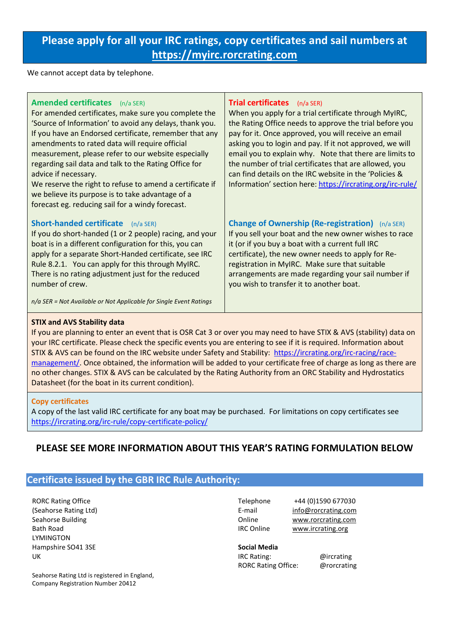## **Please apply for all your IRC ratings, copy certificates and sail numbers at https://myirc.rorcrating.com**

We cannot accept data by telephone.

| <b>Amended certificates</b> (n/a SER)<br>For amended certificates, make sure you complete the<br>'Source of Information' to avoid any delays, thank you.<br>If you have an Endorsed certificate, remember that any<br>amendments to rated data will require official<br>measurement, please refer to our website especially<br>regarding sail data and talk to the Rating Office for<br>advice if necessary.<br>We reserve the right to refuse to amend a certificate if<br>we believe its purpose is to take advantage of a<br>forecast eg. reducing sail for a windy forecast. | <b>Trial certificates</b> (n/a SER)<br>When you apply for a trial certificate through MyIRC,<br>the Rating Office needs to approve the trial before you<br>pay for it. Once approved, you will receive an email<br>asking you to login and pay. If it not approved, we will<br>email you to explain why. Note that there are limits to<br>the number of trial certificates that are allowed, you<br>can find details on the IRC website in the 'Policies &<br>Information' section here: https://ircrating.org/irc-rule/ |
|----------------------------------------------------------------------------------------------------------------------------------------------------------------------------------------------------------------------------------------------------------------------------------------------------------------------------------------------------------------------------------------------------------------------------------------------------------------------------------------------------------------------------------------------------------------------------------|--------------------------------------------------------------------------------------------------------------------------------------------------------------------------------------------------------------------------------------------------------------------------------------------------------------------------------------------------------------------------------------------------------------------------------------------------------------------------------------------------------------------------|
| <b>Short-handed certificate</b><br>$(n/a$ SER)<br>If you do short-handed (1 or 2 people) racing, and your<br>boat is in a different configuration for this, you can<br>apply for a separate Short-Handed certificate, see IRC<br>Rule 8.2.1. You can apply for this through MyIRC.<br>There is no rating adjustment just for the reduced<br>number of crew.                                                                                                                                                                                                                      | <b>Change of Ownership (Re-registration)</b> (n/a SER)<br>If you sell your boat and the new owner wishes to race<br>it (or if you buy a boat with a current full IRC<br>certificate), the new owner needs to apply for Re-<br>registration in MyIRC. Make sure that suitable<br>arrangements are made regarding your sail number if<br>you wish to transfer it to another boat.                                                                                                                                          |

*n/a SER = Not Available or Not Applicable for Single Event Ratings* 

## **STIX and AVS Stability data**

If you are planning to enter an event that is OSR Cat 3 or over you may need to have STIX & AVS (stability) data on your IRC certificate. Please check the specific events you are entering to see if it is required. Information about STIX & AVS can be found on the IRC website under Safety and Stability: https://ircrating.org/irc-racing/racemanagement/. Once obtained, the information will be added to your certificate free of charge as long as there are no other changes. STIX & AVS can be calculated by the Rating Authority from an ORC Stability and Hydrostatics Datasheet (for the boat in its current condition).

## **Copy certificates**

A copy of the last valid IRC certificate for any boat may be purchased. For limitations on copy certificates see https://ircrating.org/irc-rule/copy-certificate-policy/

## **PLEASE SEE MORE INFORMATION ABOUT THIS YEAR'S RATING FORMULATION BELOW**

## **Certificate issued by the GBR IRC Rule Authority:**

RORC Rating Office (Seahorse Rating Ltd) Seahorse Building Bath Road LYMINGTON Hampshire SO41 3SE UK

Seahorse Rating Ltd is registered in England, Company Registration Number 20412

Telephone +44 (0)1590 677030 E-mail info@rorcrating.com Online www.rorcrating.com IRC Online www.ircrating.org

**Social Media**  IRC Rating: @ircrating RORC Rating Office: @rorcrating